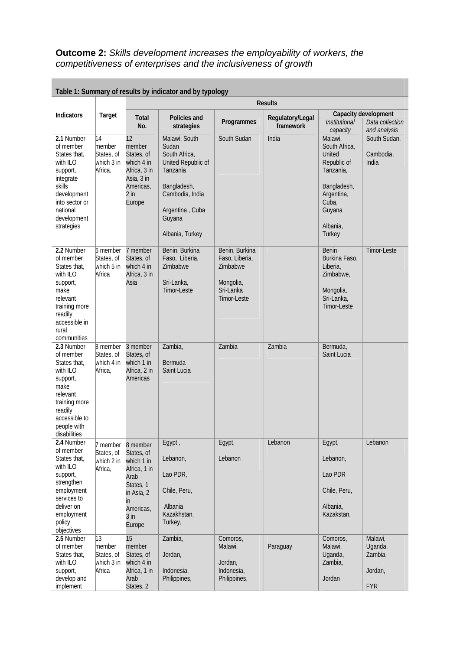**Outcome 2:** *Skills development increases the employability of workers, the competitiveness of enterprises and the inclusiveness of growth* 

| Table 1: Summary of results by indicator and by typology                                                                                                         |                                                                 |                                                                                                                                 |                                                                                                                                                             |                                                                                       |                               |                                                                                                                                      |                                                         |
|------------------------------------------------------------------------------------------------------------------------------------------------------------------|-----------------------------------------------------------------|---------------------------------------------------------------------------------------------------------------------------------|-------------------------------------------------------------------------------------------------------------------------------------------------------------|---------------------------------------------------------------------------------------|-------------------------------|--------------------------------------------------------------------------------------------------------------------------------------|---------------------------------------------------------|
|                                                                                                                                                                  |                                                                 |                                                                                                                                 | <b>Results</b>                                                                                                                                              |                                                                                       |                               |                                                                                                                                      |                                                         |
| Indicators                                                                                                                                                       | Target                                                          | <b>Total</b><br>No.                                                                                                             | Policies and<br>strategies                                                                                                                                  | Programmes                                                                            | Regulatory/Legal<br>framework | <b>Institutional</b><br>capacity                                                                                                     | Capacity development<br>Data collection<br>and analysis |
| 2.1 Number<br>of member<br>States that,<br>with ILO<br>support,<br>integrate<br>skills<br>development<br>into sector or<br>national<br>development<br>strategies | 14<br>member<br>States, of<br>which 3 in<br>Africa,             | $ 12\rangle$<br>member<br>States, of<br>which 4 in<br>Africa, 3 in<br>Asia, 3 in<br>Americas,<br>$2$ in<br>Europe               | Malawi, South<br>Sudan<br>South Africa,<br>United Republic of<br>Tanzania<br>Bangladesh,<br>Cambodia, India<br>Argentina, Cuba<br>Guyana<br>Albania, Turkey | South Sudan                                                                           | India                         | Malawi,<br>South Africa,<br>United<br>Republic of<br>Tanzania,<br>Bangladesh,<br>Argentina,<br>Cuba,<br>Guyana<br>Albania,<br>Turkey | South Sudan,<br>Cambodia,<br>India                      |
| 2.2 Number<br>of member<br>States that,<br>with ILO<br>support,<br>make<br>relevant<br>training more<br>readily<br>accessible in<br>rural<br>communities         | 6 member<br>States, of<br>which 5 in<br>Africa                  | 7 member<br>States, of<br>which 4 in<br>Africa, 3 in<br>Asia                                                                    | Benin, Burkina<br>Faso, Liberia,<br>Zimbabwe<br>Sri-Lanka,<br>Timor-Leste                                                                                   | Benin, Burkina<br>Faso, Liberia,<br>Zimbabwe<br>Mongolia,<br>Sri-Lanka<br>Timor-Leste |                               | Benin<br>Burkina Faso,<br>Liberia,<br>Zimbabwe,<br>Mongolia,<br>Sri-Lanka,<br>Timor-Leste                                            | Timor-Leste                                             |
| 2.3 Number<br>of member<br>States that,<br>with ILO<br>support,<br>make<br>relevant<br>training more<br>readily<br>accessible to<br>people with<br>disabilities  | 8 member<br>States, of<br>which 4 in<br>Africa,                 | 3 member<br>States, of<br>which 1 in<br>Africa, 2 in<br>Americas                                                                | Zambia,<br><b>Bermuda</b><br>Saint Lucia                                                                                                                    | Zambia                                                                                | Zambia                        | Bermuda,<br>Saint Lucia                                                                                                              |                                                         |
| 2.4 Number<br>of member<br>States that,<br>with ILO<br>support,<br>strengthen<br>employment<br>services to<br>deliver on<br>employment<br>policy<br>objectives   | 7 member<br>States, of<br>which 2 in<br>Africa,                 | 8 member<br>States, of<br>which 1 in<br>Africa, 1 in<br>Arab<br>States, 1<br>in Asia, 2<br>in.<br>Americas,<br>$3$ in<br>Europe | Egypt,<br>Lebanon,<br>Lao PDR,<br>Chile, Peru,<br>Albania<br>Kazakhstan,<br>Turkey,                                                                         | Egypt,<br>Lebanon                                                                     | Lebanon                       | Egypt,<br>Lebanon,<br>Lao PDR<br>Chile, Peru,<br>Albania,<br>Kazakstan,                                                              | Lebanon                                                 |
| 2.5 Number<br>of member<br>States that,<br>with ILO<br>support,<br>develop and<br>implement                                                                      | $\overline{13}$<br>member<br>States, of<br>which 3 in<br>Africa | 15<br>member<br>States, of<br>which 4 in<br>Africa, 1 in<br>Arab<br>States, 2                                                   | Zambia,<br>Jordan,<br>Indonesia,<br>Philippines,                                                                                                            | Comoros,<br>Malawi,<br>Jordan,<br>Indonesia,<br>Philippines,                          | Paraguay                      | Comoros,<br>Malawi,<br>Uganda,<br>Zambia,<br>Jordan                                                                                  | Malawi,<br>Uganda,<br>Zambia,<br>Jordan,<br><b>FYR</b>  |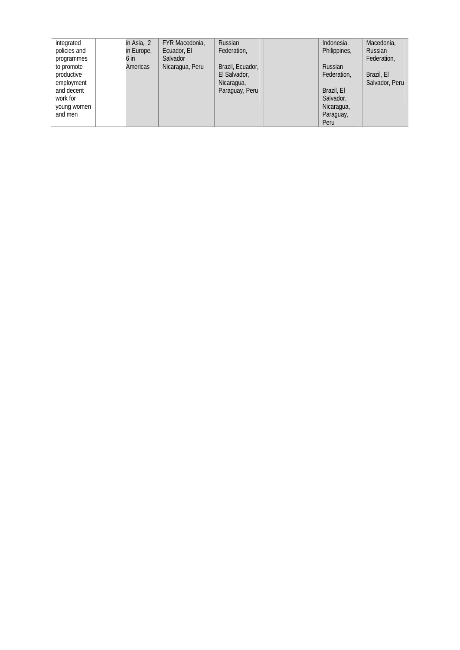| integrated   | in Asia, 2 | FYR Macedonia,  | Russian          | Indonesia,     | Macedonia,     |
|--------------|------------|-----------------|------------------|----------------|----------------|
| policies and | in Europe, | Ecuador, El     | Federation,      | Philippines,   | <b>Russian</b> |
| programmes   | 6 in       | Salvador        |                  |                | Federation,    |
| to promote   | Americas   | Nicaragua, Peru | Brazil, Ecuador, | <b>Russian</b> |                |
| productive   |            |                 | El Salvador,     | Federation,    | Brazil, El     |
| employment   |            |                 | Nicaragua,       |                | Salvador, Peru |
| and decent   |            |                 | Paraguay, Peru   | Brazil, El     |                |
| work for     |            |                 |                  | Salvador,      |                |
| young women  |            |                 |                  | Nicaragua,     |                |
| and men      |            |                 |                  | Paraguay,      |                |
|              |            |                 |                  | Peru           |                |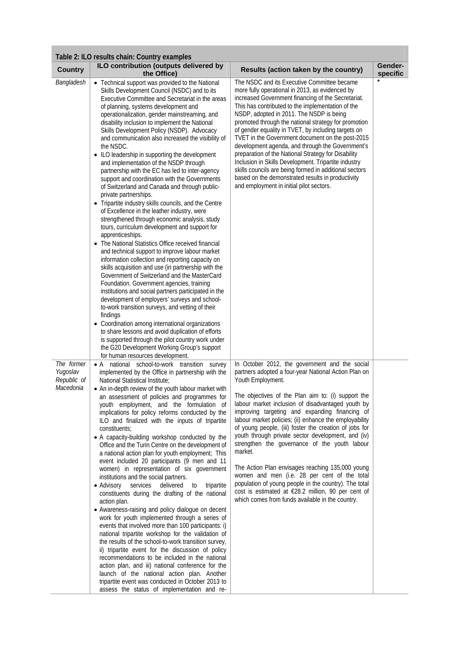| <b>Country</b>                                     | ILO contribution (outputs delivered by<br>the Office)                                                                                                                                                                                                                                                                                                                                                                                                                                                                                                                                                                                                                                                                                                                                                                                                                                                                                                                                                                                                                                                                                                                                                                                                                                                                                                                                                                                                                                                                                                                                                                                                               | Results (action taken by the country)                                                                                                                                                                                                                                                                                                                                                                                                                                                                                                                                                                                                                                                                                                                                                                 | Gender-<br>specific |
|----------------------------------------------------|---------------------------------------------------------------------------------------------------------------------------------------------------------------------------------------------------------------------------------------------------------------------------------------------------------------------------------------------------------------------------------------------------------------------------------------------------------------------------------------------------------------------------------------------------------------------------------------------------------------------------------------------------------------------------------------------------------------------------------------------------------------------------------------------------------------------------------------------------------------------------------------------------------------------------------------------------------------------------------------------------------------------------------------------------------------------------------------------------------------------------------------------------------------------------------------------------------------------------------------------------------------------------------------------------------------------------------------------------------------------------------------------------------------------------------------------------------------------------------------------------------------------------------------------------------------------------------------------------------------------------------------------------------------------|-------------------------------------------------------------------------------------------------------------------------------------------------------------------------------------------------------------------------------------------------------------------------------------------------------------------------------------------------------------------------------------------------------------------------------------------------------------------------------------------------------------------------------------------------------------------------------------------------------------------------------------------------------------------------------------------------------------------------------------------------------------------------------------------------------|---------------------|
| Bangladesh                                         | • Technical support was provided to the National<br>Skills Development Council (NSDC) and to its<br>Executive Committee and Secretariat in the areas<br>of planning, systems development and<br>operationalization, gender mainstreaming, and<br>disability inclusion to implement the National<br>Skills Development Policy (NSDP). Advocacy<br>and communication also increased the visibility of<br>the NSDC.<br>• ILO leadership in supporting the development<br>and implementation of the NSDP through<br>partnership with the EC has led to inter-agency<br>support and coordination with the Governments<br>of Switzerland and Canada and through public-<br>private partnerships.<br>• Tripartite industry skills councils, and the Centre<br>of Excellence in the leather industry, were<br>strengthened through economic analysis, study<br>tours, curriculum development and support for<br>apprenticeships.<br>• The National Statistics Office received financial<br>and technical support to improve labour market<br>information collection and reporting capacity on<br>skills acquisition and use (in partnership with the<br>Government of Switzerland and the MasterCard<br>Foundation. Government agencies, training<br>institutions and social partners participated in the<br>development of employers' surveys and school-<br>to-work transition surveys, and vetting of their<br>findings<br>• Coordination among international organizations<br>to share lessons and avoid duplication of efforts<br>is supported through the pilot country work under<br>the G20 Development Working Group's support<br>for human resources development. | The NSDC and its Executive Committee became<br>more fully operational in 2013, as evidenced by<br>increased Government financing of the Secretariat.<br>This has contributed to the implementation of the<br>NSDP, adopted in 2011. The NSDP is being<br>promoted through the national strategy for promotion<br>of gender equality in TVET, by including targets on<br>TVET in the Government document on the post-2015<br>development agenda, and through the Government's<br>preparation of the National Strategy for Disability<br>Inclusion in Skills Development. Tripartite industry<br>skills councils are being formed in additional sectors<br>based on the demonstrated results in productivity<br>and employment in initial pilot sectors.                                                |                     |
| The former<br>Yugoslav<br>Republic of<br>Macedonia | • A national school-to-work transition survey<br>implemented by the Office in partnership with the<br>National Statistical Institute;<br>• An in-depth review of the youth labour market with<br>an assessment of policies and programmes for<br>youth employment, and the formulation of<br>implications for policy reforms conducted by the<br>ILO and finalized with the inputs of tripartite<br>constituents;<br>• A capacity-building workshop conducted by the<br>Office and the Turin Centre on the development of<br>a national action plan for youth employment; This<br>event included 20 participants (9 men and 11<br>women) in representation of six government<br>institutions and the social partners.<br>services<br>delivered<br>$\bullet$ Advisory<br>to<br>tripartite<br>constituents during the drafting of the national<br>action plan.<br>• Awareness-raising and policy dialogue on decent<br>work for youth implemented through a series of<br>events that involved more than 100 participants: i)<br>national tripartite workshop for the validation of<br>the results of the school-to-work transition survey,<br>ii) tripartite event for the discussion of policy<br>recommendations to be included in the national<br>action plan, and iii) national conference for the<br>launch of the national action plan. Another<br>tripartite event was conducted in October 2013 to<br>assess the status of implementation and re-                                                                                                                                                                                                             | In October 2012, the government and the social<br>partners adopted a four-year National Action Plan on<br>Youth Employment.<br>The objectives of the Plan aim to: (i) support the<br>labour market inclusion of disadvantaged youth by<br>improving targeting and expanding financing of<br>labour market policies; (ii) enhance the employability<br>of young people, (iii) foster the creation of jobs for<br>youth through private sector development, and (iv)<br>strengthen the governance of the youth labour<br>market.<br>The Action Plan envisages reaching 135,000 young<br>women and men (i.e. 28 per cent of the total<br>population of young people in the country). The total<br>cost is estimated at €28.2 million, 90 per cent of<br>which comes from funds available in the country. |                     |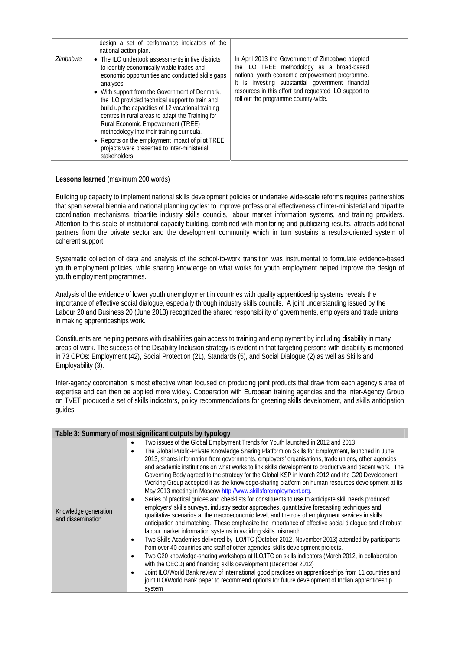|                 | design a set of performance indicators of the                                                                                                                                                                                                                                                                                                                                                                                                                                                                                                                                          |                                                                                                                                                                                                                                                                                                      |  |
|-----------------|----------------------------------------------------------------------------------------------------------------------------------------------------------------------------------------------------------------------------------------------------------------------------------------------------------------------------------------------------------------------------------------------------------------------------------------------------------------------------------------------------------------------------------------------------------------------------------------|------------------------------------------------------------------------------------------------------------------------------------------------------------------------------------------------------------------------------------------------------------------------------------------------------|--|
|                 | national action plan.                                                                                                                                                                                                                                                                                                                                                                                                                                                                                                                                                                  |                                                                                                                                                                                                                                                                                                      |  |
| <b>Zimbabwe</b> | • The ILO undertook assessments in five districts<br>to identify economically viable trades and<br>economic opportunities and conducted skills gaps<br>analyses.<br>• With support from the Government of Denmark,<br>the ILO provided technical support to train and<br>build up the capacities of 12 vocational training<br>centres in rural areas to adapt the Training for<br>Rural Economic Empowerment (TREE)<br>methodology into their training curricula.<br>• Reports on the employment impact of pilot TREE<br>projects were presented to inter-ministerial<br>stakeholders. | In April 2013 the Government of Zimbabwe adopted<br>the ILO TREE methodology as a broad-based<br>national youth economic empowerment programme.<br>It is investing substantial government financial<br>resources in this effort and requested ILO support to<br>roll out the programme country-wide. |  |

## **Lessons learned** (maximum 200 words)

Building up capacity to implement national skills development policies or undertake wide-scale reforms requires partnerships that span several biennia and national planning cycles: to improve professional effectiveness of inter-ministerial and tripartite coordination mechanisms, tripartite industry skills councils, labour market information systems, and training providers. Attention to this scale of institutional capacity-building, combined with monitoring and publicizing results, attracts additional partners from the private sector and the development community which in turn sustains a results-oriented system of coherent support.

Systematic collection of data and analysis of the school-to-work transition was instrumental to formulate evidence-based youth employment policies, while sharing knowledge on what works for youth employment helped improve the design of youth employment programmes.

Analysis of the evidence of lower youth unemployment in countries with quality apprenticeship systems reveals the importance of effective social dialogue, especially through industry skills councils. A joint understanding issued by the Labour 20 and Business 20 (June 2013) recognized the shared responsibility of governments, employers and trade unions in making apprenticeships work.

Constituents are helping persons with disabilities gain access to training and employment by including disability in many areas of work. The success of the Disability Inclusion strategy is evident in that targeting persons with disability is mentioned in 73 CPOs: Employment (42), Social Protection (21), Standards (5), and Social Dialogue (2) as well as Skills and Employability (3).

Inter-agency coordination is most effective when focused on producing joint products that draw from each agency's area of expertise and can then be applied more widely. Cooperation with European training agencies and the Inter-Agency Group on TVET produced a set of skills indicators, policy recommendations for greening skills development, and skills anticipation guides.

|                                           | Table 3: Summary of most significant outputs by typology                                                                                                                                                                                                                                                                                                                                                                                                                                                                                                                                                                                                                                                                                                                                                                                                                                                                                                                                                                                                                                                                                                                                                                                                                                                                                                                                                                                                                                                                                                                                                                                                   |
|-------------------------------------------|------------------------------------------------------------------------------------------------------------------------------------------------------------------------------------------------------------------------------------------------------------------------------------------------------------------------------------------------------------------------------------------------------------------------------------------------------------------------------------------------------------------------------------------------------------------------------------------------------------------------------------------------------------------------------------------------------------------------------------------------------------------------------------------------------------------------------------------------------------------------------------------------------------------------------------------------------------------------------------------------------------------------------------------------------------------------------------------------------------------------------------------------------------------------------------------------------------------------------------------------------------------------------------------------------------------------------------------------------------------------------------------------------------------------------------------------------------------------------------------------------------------------------------------------------------------------------------------------------------------------------------------------------------|
| Knowledge generation<br>and dissemination | Two issues of the Global Employment Trends for Youth launched in 2012 and 2013<br>$\bullet$<br>The Global Public-Private Knowledge Sharing Platform on Skills for Employment, launched in June<br>2013, shares information from governments, employers' organisations, trade unions, other agencies<br>and academic institutions on what works to link skills development to productive and decent work. The<br>Governing Body agreed to the strategy for the Global KSP in March 2012 and the G20 Development<br>Working Group accepted it as the knowledge-sharing platform on human resources development at its<br>May 2013 meeting in Moscow http://www.skillsforemployment.org.<br>Series of practical guides and checklists for constituents to use to anticipate skill needs produced:<br>employers' skills surveys, industry sector approaches, quantitative forecasting techniques and<br>qualitative scenarios at the macroeconomic level, and the role of employment services in skills<br>anticipation and matching. These emphasize the importance of effective social dialogue and of robust<br>labour market information systems in avoiding skills mismatch.<br>Two Skills Academies delivered by ILO/ITC (October 2012, November 2013) attended by participants<br>٠<br>from over 40 countries and staff of other agencies' skills development projects.<br>Two G20 knowledge-sharing workshops at ILO/ITC on skills indicators (March 2012, in collaboration<br>with the OECD) and financing skills development (December 2012)<br>Joint ILO/World Bank review of international good practices on apprenticeships from 11 countries and |
|                                           | joint ILO/World Bank paper to recommend options for future development of Indian apprenticeship<br>system                                                                                                                                                                                                                                                                                                                                                                                                                                                                                                                                                                                                                                                                                                                                                                                                                                                                                                                                                                                                                                                                                                                                                                                                                                                                                                                                                                                                                                                                                                                                                  |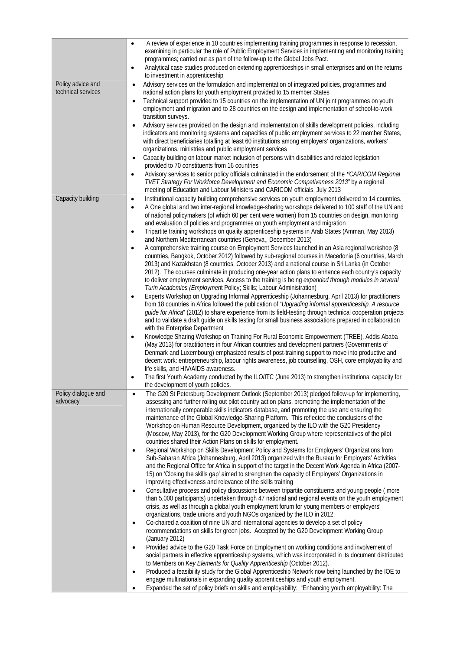| A review of experience in 10 countries implementing training programmes in response to recession,<br>$\bullet$<br>examining in particular the role of Public Employment Services in implementing and monitoring training<br>programmes; carried out as part of the follow-up to the Global Jobs Pact.<br>Analytical case studies produced on extending apprenticeships in small enterprises and on the returns<br>$\bullet$ |  |
|-----------------------------------------------------------------------------------------------------------------------------------------------------------------------------------------------------------------------------------------------------------------------------------------------------------------------------------------------------------------------------------------------------------------------------|--|
| to investment in apprenticeship                                                                                                                                                                                                                                                                                                                                                                                             |  |
| Policy advice and<br>Advisory services on the formulation and implementation of integrated policies, programmes and<br>$\bullet$<br>technical services<br>national action plans for youth employment provided to 15 member States                                                                                                                                                                                           |  |
| Technical support provided to 15 countries on the implementation of UN joint programmes on youth<br>$\bullet$                                                                                                                                                                                                                                                                                                               |  |
| employment and migration and to 28 countries on the design and implementation of school-to-work                                                                                                                                                                                                                                                                                                                             |  |
| transition surveys.<br>Advisory services provided on the design and implementation of skills development policies, including<br>$\bullet$                                                                                                                                                                                                                                                                                   |  |
| indicators and monitoring systems and capacities of public employment services to 22 member States,                                                                                                                                                                                                                                                                                                                         |  |
| with direct beneficiaries totalling at least 60 institutions among employers' organizations, workers'                                                                                                                                                                                                                                                                                                                       |  |
| organizations, ministries and public employment services<br>Capacity building on labour market inclusion of persons with disabilities and related legislation<br>$\bullet$                                                                                                                                                                                                                                                  |  |
| provided to 70 constituents from 16 countries                                                                                                                                                                                                                                                                                                                                                                               |  |
| Advisory services to senior policy officials culminated in the endorsement of the "CARICOM Regional<br>$\bullet$<br>TVET Strategy For Workforce Development and Economic Competiveness 2013" by a regional                                                                                                                                                                                                                  |  |
| meeting of Education and Labour Ministers and CARICOM officials, July 2013                                                                                                                                                                                                                                                                                                                                                  |  |
| Capacity building<br>Institutional capacity building comprehensive services on youth employment delivered to 14 countries.<br>$\bullet$                                                                                                                                                                                                                                                                                     |  |
| A One global and two inter-regional knowledge-sharing workshops delivered to 100 staff of the UN and<br>$\bullet$                                                                                                                                                                                                                                                                                                           |  |
| of national policymakers (of which 60 per cent were women) from 15 countries on design, monitoring<br>and evaluation of policies and programmes on youth employment and migration                                                                                                                                                                                                                                           |  |
| Tripartite training workshops on quality apprenticeship systems in Arab States (Amman, May 2013)<br>$\bullet$                                                                                                                                                                                                                                                                                                               |  |
| and Northern Mediterranean countries (Geneva,, December 2013)<br>A comprehensive training course on Employment Services launched in an Asia regional workshop (8<br>$\bullet$                                                                                                                                                                                                                                               |  |
| countries, Bangkok, October 2012) followed by sub-regional courses in Macedonia (6 countries, March                                                                                                                                                                                                                                                                                                                         |  |
| 2013) and Kazakhstan (8 countries, October 2013) and a national course in Sri Lanka (in October                                                                                                                                                                                                                                                                                                                             |  |
| 2012). The courses culminate in producing one-year action plans to enhance each country's capacity<br>to deliver employment services. Access to the training is being expanded through modules in several                                                                                                                                                                                                                   |  |
| Turin Academies (Employment Policy; Skills; Labour Administration)                                                                                                                                                                                                                                                                                                                                                          |  |
| Experts Workshop on Upgrading Informal Apprenticeship (Johannesburg, April 2013) for practitioners<br>$\bullet$                                                                                                                                                                                                                                                                                                             |  |
| from 18 countries in Africa followed the publication of "Upgrading informal apprenticeship. A resource<br>guide for Africa" (2012) to share experience from its field-testing through technical cooperation projects                                                                                                                                                                                                        |  |
| and to validate a draft guide on skills testing for small business associations prepared in collaboration                                                                                                                                                                                                                                                                                                                   |  |
| with the Enterprise Department                                                                                                                                                                                                                                                                                                                                                                                              |  |
| Knowledge Sharing Workshop on Training For Rural Economic Empowerment (TREE), Addis Ababa<br>$\bullet$<br>(May 2013) for practitioners in four African countries and development partners (Governments of                                                                                                                                                                                                                   |  |
| Denmark and Luxembourg) emphasized results of post-training support to move into productive and                                                                                                                                                                                                                                                                                                                             |  |
| decent work: entrepreneurship, labour rights awareness, job counselling, OSH, core employability and                                                                                                                                                                                                                                                                                                                        |  |
| life skills, and HIV/AIDS awareness.<br>The first Youth Academy conducted by the ILO/ITC (June 2013) to strengthen institutional capacity for                                                                                                                                                                                                                                                                               |  |
| ٠<br>the development of youth policies.                                                                                                                                                                                                                                                                                                                                                                                     |  |
| Policy dialogue and<br>The G20 St Petersburg Development Outlook (September 2013) pledged follow-up for implementing,<br>$\bullet$                                                                                                                                                                                                                                                                                          |  |
| advocacy<br>assessing and further rolling out pilot country action plans, promoting the implementation of the<br>internationally comparable skills indicators database, and promoting the use and ensuring the                                                                                                                                                                                                              |  |
| maintenance of the Global Knowledge-Sharing Platform. This reflected the conclusions of the                                                                                                                                                                                                                                                                                                                                 |  |
| Workshop on Human Resource Development, organized by the ILO with the G20 Presidency                                                                                                                                                                                                                                                                                                                                        |  |
| (Moscow, May 2013), for the G20 Development Working Group where representatives of the pilot<br>countries shared their Action Plans on skills for employment.                                                                                                                                                                                                                                                               |  |
| Regional Workshop on Skills Development Policy and Systems for Employers' Organizations from<br>$\bullet$                                                                                                                                                                                                                                                                                                                   |  |
| Sub-Saharan Africa (Johannesburg, April 2013) organized with the Bureau for Employers' Activities                                                                                                                                                                                                                                                                                                                           |  |
| and the Regional Office for Africa in support of the target in the Decent Work Agenda in Africa (2007-<br>15) on 'Closing the skills gap' aimed to strengthen the capacity of Employers' Organizations in                                                                                                                                                                                                                   |  |
| improving effectiveness and relevance of the skills training                                                                                                                                                                                                                                                                                                                                                                |  |
| Consultative process and policy discussions between tripartite constituents and young people (more<br>$\bullet$                                                                                                                                                                                                                                                                                                             |  |
| than 5,000 participants) undertaken through 47 national and regional events on the youth employment<br>crisis, as well as through a global youth employment forum for young members or employers'                                                                                                                                                                                                                           |  |
| organizations, trade unions and youth NGOs organized by the ILO in 2012.                                                                                                                                                                                                                                                                                                                                                    |  |
| Co-chaired a coalition of nine UN and international agencies to develop a set of policy<br>$\bullet$                                                                                                                                                                                                                                                                                                                        |  |
| recommendations on skills for green jobs. Accepted by the G20 Development Working Group<br>(January 2012)                                                                                                                                                                                                                                                                                                                   |  |
| Provided advice to the G20 Task Force on Employment on working conditions and involvement of<br>$\bullet$                                                                                                                                                                                                                                                                                                                   |  |
| social partners in effective apprenticeship systems, which was incorporated in its document distributed                                                                                                                                                                                                                                                                                                                     |  |
| to Members on Key Elements for Quality Apprenticeship (October 2012).<br>Produced a feasibility study for the Global Apprenticeship Network now being launched by the IOE to<br>$\bullet$                                                                                                                                                                                                                                   |  |
| engage multinationals in expanding quality apprenticeships and youth employment.                                                                                                                                                                                                                                                                                                                                            |  |
| Expanded the set of policy briefs on skills and employability: "Enhancing youth employability: The<br>$\bullet$                                                                                                                                                                                                                                                                                                             |  |